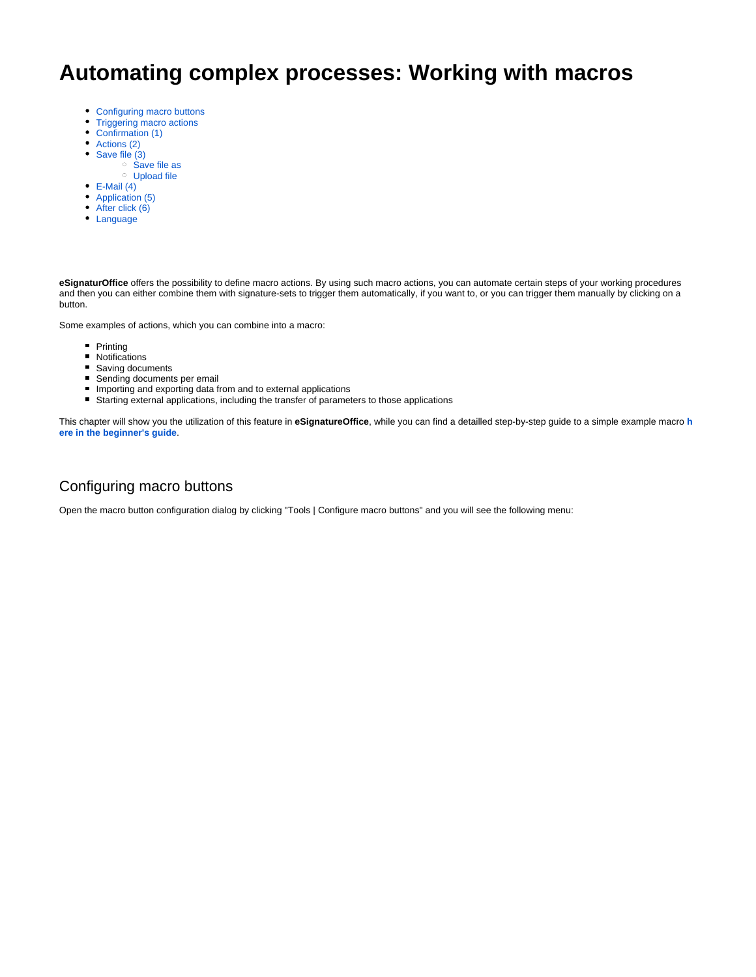# **Automating complex processes: Working with macros**

- [Configuring macro buttons](#page-0-0)
- [Triggering macro actions](#page-1-0)
- [Confirmation \(1\)](#page-2-0)
- [Actions \(2\)](#page-3-0)
- [Save file \(3\)](#page-3-1)
	- <sup>o</sup> [Save file as](#page-4-0)
	- [Upload file](#page-4-1)
- $\bullet$  [E-Mail \(4\)](#page-6-0)
- [Application \(5\)](#page-7-0)
- [After click \(6\)](#page-7-1)
- [Language](#page-8-0)

**eSignaturOffice** offers the possibility to define macro actions. By using such macro actions, you can automate certain steps of your working procedures and then you can either combine them with signature-sets to trigger them automatically, if you want to, or you can trigger them manually by clicking on a button.

Some examples of actions, which you can combine into a macro:

- **Printing**
- **Notifications**
- Saving documents
- Sending documents per email
- **Importing and exporting data from and to external applications**
- Starting external applications, including the transfer of parameters to those applications

This chapter will show you the utilization of this feature in **eSignatureOffice**, while you can find a detailled step-by-step guide to a simple example macro **[h](https://www.stepoverinfo.net/confluence/display/PUG/4.+Getting+Started%3A+An+introduction+to+the+basic+features+of+eSignatureOffice) [ere in the beginner's guide](https://www.stepoverinfo.net/confluence/display/PUG/4.+Getting+Started%3A+An+introduction+to+the+basic+features+of+eSignatureOffice)**.

### <span id="page-0-0"></span>Configuring macro buttons

Open the macro button configuration dialog by clicking "Tools | Configure macro buttons" and you will see the following menu: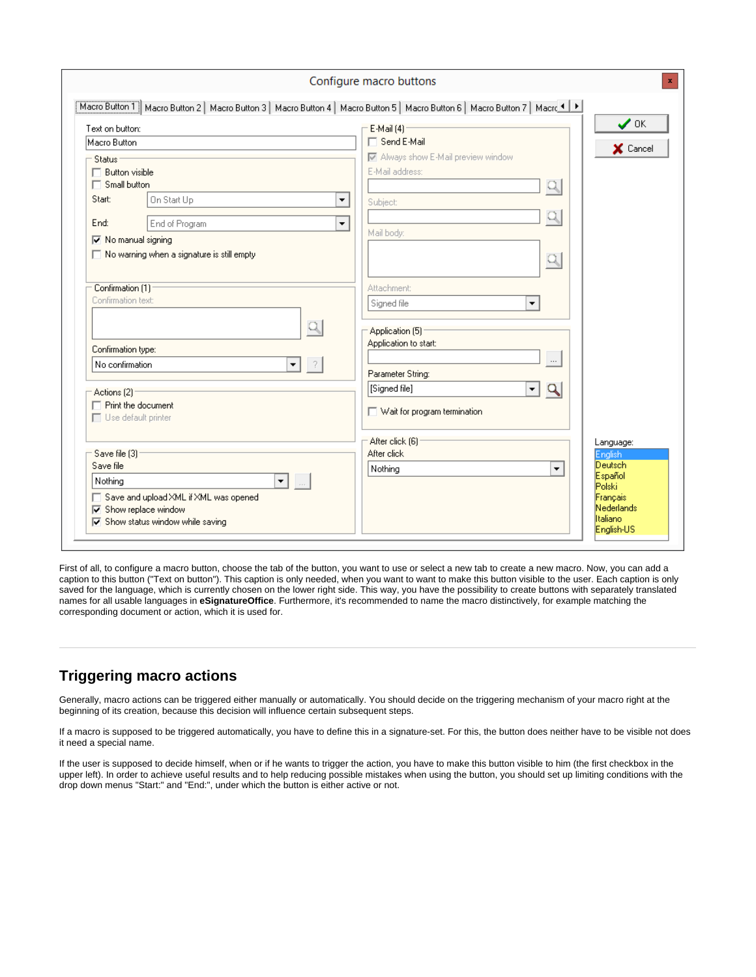|                                                                                                                                    | Configure macro buttons                       |                               |
|------------------------------------------------------------------------------------------------------------------------------------|-----------------------------------------------|-------------------------------|
| Macro Button T   Macro Button 2   Macro Button 3   Macro Button 4   Macro Button 5   Macro Button 6   Macro Button 7   Macro 1   M |                                               |                               |
| Text on button:                                                                                                                    | - E-Mail (4) —                                | $\boldsymbol{\mathcal{S}}$ ok |
| Macro Button                                                                                                                       | □ Send E-Mail                                 | X Cancel                      |
| Status                                                                                                                             | M Always show E-Mail preview window           |                               |
| $\Box$ Button visible                                                                                                              | E-Mail address:                               |                               |
| $\Box$ Small button                                                                                                                | Q                                             |                               |
| Start:<br>On Start Up<br>▼                                                                                                         | Subject:                                      |                               |
| End of Program<br>$\overline{\phantom{a}}$<br>End:                                                                                 |                                               |                               |
| Mo manual signing                                                                                                                  | Mail body:                                    |                               |
| $\Box$ No warning when a signature is still empty                                                                                  |                                               |                               |
|                                                                                                                                    | Q                                             |                               |
|                                                                                                                                    |                                               |                               |
| Confirmation [1]<br>Confirmation text:                                                                                             | <b>Attachment:</b>                            |                               |
|                                                                                                                                    | Signed file<br>▼                              |                               |
| Q                                                                                                                                  | Application (5)                               |                               |
|                                                                                                                                    | Application to start:                         |                               |
| Confirmation type:                                                                                                                 | $\cdots$                                      |                               |
| No confirmation<br>-?<br>▼                                                                                                         | Parameter String:                             |                               |
| Actions [2]                                                                                                                        | [Signed file]<br>$\mathbf{v}$<br>$\mathbf{Q}$ |                               |
| $\Box$ Print the document                                                                                                          |                                               |                               |
| $\Box$ Use default printer                                                                                                         | Wait for program termination                  |                               |
|                                                                                                                                    |                                               |                               |
| Save file [3]:                                                                                                                     | After click [6]<br>After click                | Language:                     |
| Save file                                                                                                                          | Nothing<br>▼                                  | English<br><b>Deutsch</b>     |
| Nothina<br>▼┃                                                                                                                      |                                               | Español                       |
| □ Save and upload XML if XML was opened                                                                                            |                                               | Polski<br>Français            |
| <b>▽</b> Show replace window                                                                                                       |                                               | Nederlands                    |
| $\overline{\blacktriangledown}$ Show status window while saving                                                                    |                                               | Italiano<br>English-US        |
|                                                                                                                                    |                                               |                               |

First of all, to configure a macro button, choose the tab of the button, you want to use or select a new tab to create a new macro. Now, you can add a caption to this button ("Text on button"). This caption is only needed, when you want to want to make this button visible to the user. Each caption is only saved for the language, which is currently chosen on the lower right side. This way, you have the possibility to create buttons with separately translated names for all usable languages in **eSignatureOffice**. Furthermore, it's recommended to name the macro distinctively, for example matching the corresponding document or action, which it is used for.

### <span id="page-1-0"></span>**Triggering macro actions**

Generally, macro actions can be triggered either manually or automatically. You should decide on the triggering mechanism of your macro right at the beginning of its creation, because this decision will influence certain subsequent steps.

If a macro is supposed to be triggered automatically, you have to define this in a signature-set. For this, the button does neither have to be visible not does it need a special name.

If the user is supposed to decide himself, when or if he wants to trigger the action, you have to make this button visible to him (the first checkbox in the upper left). In order to achieve useful results and to help reducing possible mistakes when using the button, you should set up limiting conditions with the drop down menus "Start:" and "End:", under which the button is either active or not.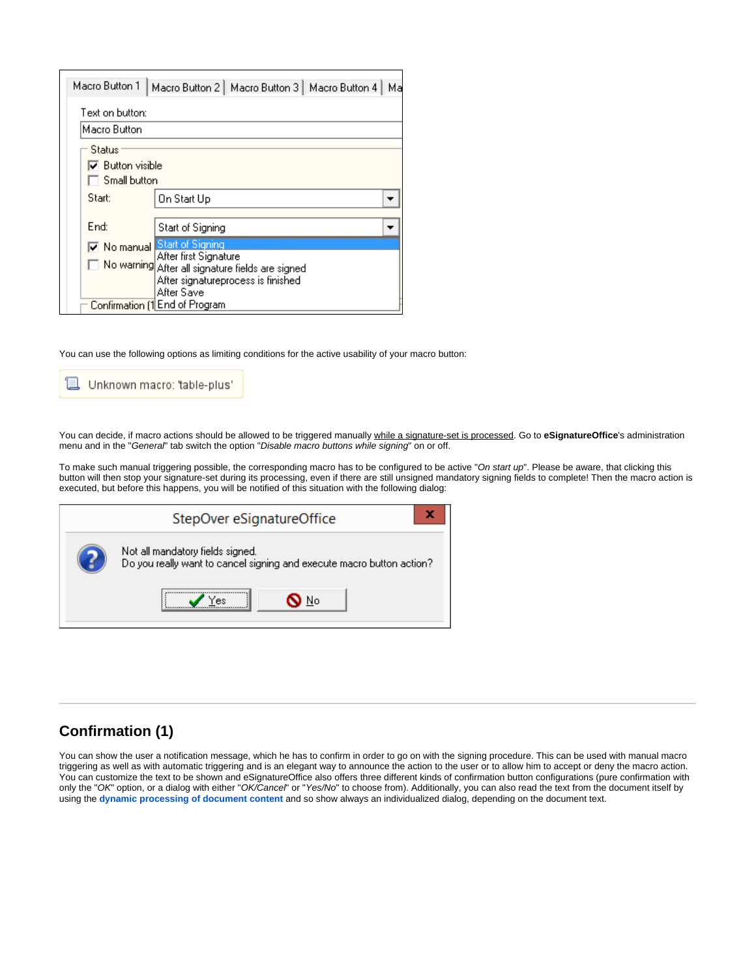| Macro Button 1                           | Macro Button 2   Macro Button 3   Macro Button 4  <br>Ma                                                                                                    |
|------------------------------------------|-------------------------------------------------------------------------------------------------------------------------------------------------------------|
| Text on button:                          |                                                                                                                                                             |
| Macro Button                             |                                                                                                                                                             |
| Status                                   |                                                                                                                                                             |
| $\nabla$ Button visible.<br>Small button |                                                                                                                                                             |
| Start:                                   | On Start Up                                                                                                                                                 |
| End:                                     | Start of Signing                                                                                                                                            |
|                                          | Mo manual Start of Signing<br>After first Signature<br>No warning After all signature fields are signed<br>After signatureprocess is finished<br>After Save |
|                                          | Confirmation [1 End of Program                                                                                                                              |

You can use the following options as limiting conditions for the active usability of your macro button:

Unknown macro: 'table-plus'

You can decide, if macro actions should be allowed to be triggered manually while a signature-set is processed. Go to **eSignatureOffice**'s administration menu and in the "General" tab switch the option "Disable macro buttons while signing" on or off.

To make such manual triggering possible, the corresponding macro has to be configured to be active "On start up". Please be aware, that clicking this button will then stop your signature-set during its processing, even if there are still unsigned mandatory signing fields to complete! Then the macro action is executed, but before this happens, you will be notified of this situation with the following dialog:

| StepOver eSignatureOffice                                                                                 |  |  |  |
|-----------------------------------------------------------------------------------------------------------|--|--|--|
| Not all mandatory fields signed.<br>Do you really want to cancel signing and execute macro button action? |  |  |  |
| No                                                                                                        |  |  |  |

## <span id="page-2-0"></span>**Confirmation (1)**

You can show the user a notification message, which he has to confirm in order to go on with the signing procedure. This can be used with manual macro triggering as well as with automatic triggering and is an elegant way to announce the action to the user or to allow him to accept or deny the macro action. You can customize the text to be shown and eSignatureOffice also offers three different kinds of confirmation button configurations (pure confirmation with only the "OK" option, or a dialog with either "OK/Cancel" or "Yes/No" to choose from). Additionally, you can also read the text from the document itself by using the **[dynamic processing of document content](https://www.stepoverinfo.net/confluence/display/PUG/Dynamic+processing+of+document+content)** and so show always an individualized dialog, depending on the document text.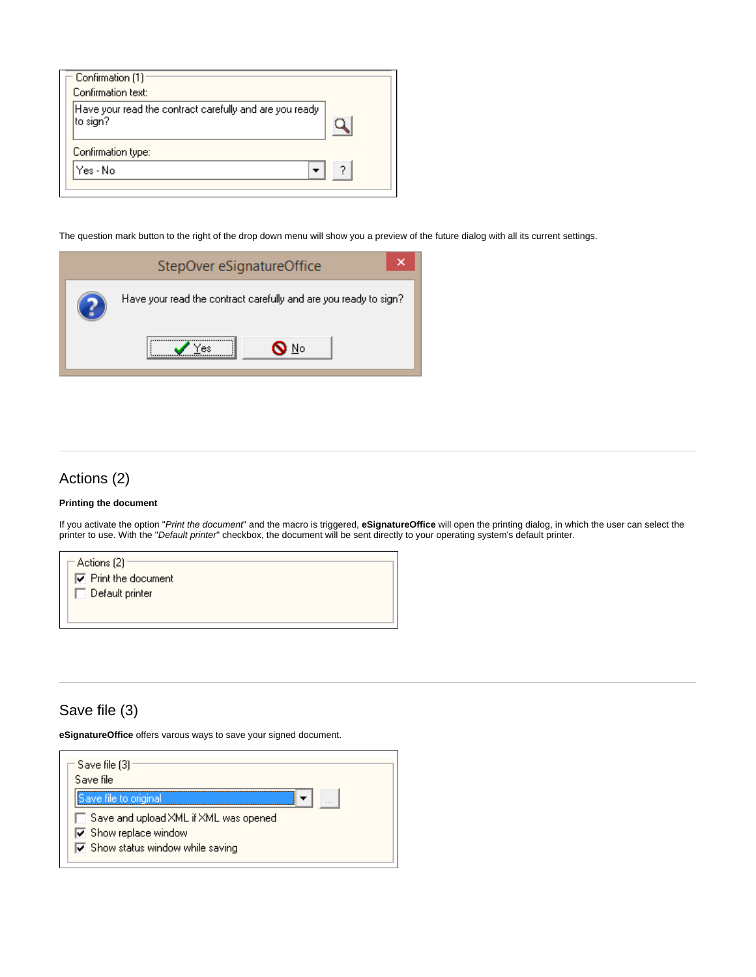| Confirmation [1]                                                    |  |
|---------------------------------------------------------------------|--|
| Confirmation text:                                                  |  |
| Have your read the contract carefully and are you ready<br>to sign? |  |
| Confirmation type:                                                  |  |
| Yes - Nol                                                           |  |
|                                                                     |  |

The question mark button to the right of the drop down menu will show you a preview of the future dialog with all its current settings.

| StepOver eSignatureOffice                                        |
|------------------------------------------------------------------|
| Have your read the contract carefully and are you ready to sign? |
| No                                                               |

# <span id="page-3-0"></span>Actions (2)

#### **Printing the document**

If you activate the option "Print the document" and the macro is triggered, **eSignatureOffice** will open the printing dialog, in which the user can select the printer to use. With the "Default printer" checkbox, the document will be sent directly to your operating system's default printer.

| – Actions (2) <sup>–</sup><br>$\nabla$ Print the document |
|-----------------------------------------------------------|
| Default printer                                           |
|                                                           |

### <span id="page-3-1"></span>Save file (3)

**eSignatureOffice** offers varous ways to save your signed document.

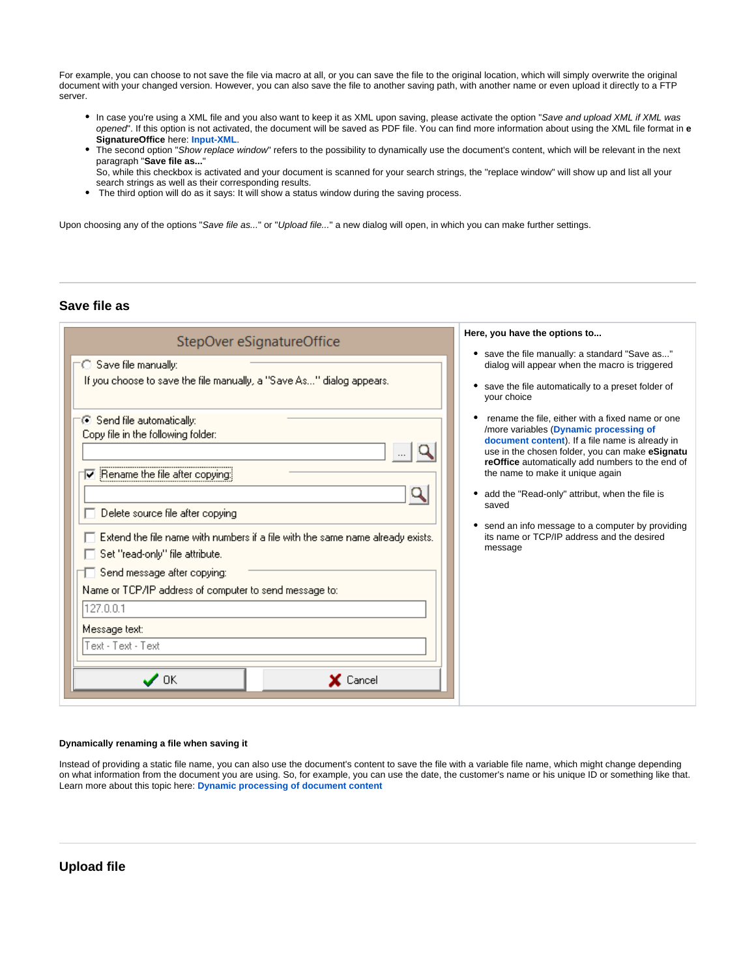For example, you can choose to not save the file via macro at all, or you can save the file to the original location, which will simply overwrite the original document with your changed version. However, you can also save the file to another saving path, with another name or even upload it directly to a FTP server.

- In case you're using a XML file and you also want to keep it as XML upon saving, please activate the option "Save and upload XML if XML was opened". If this option is not activated, the document will be saved as PDF file. You can find more information about using the XML file format in **e SignatureOffice** here: **[Input-XML](https://www.stepoverinfo.net/confluence/display/PESO/Input-XML)**.
- The second option "Show replace window" refers to the possibility to dynamically use the document's content, which will be relevant in the next paragraph "**Save file as...**"

So, while this checkbox is activated and your document is scanned for your search strings, the "replace window" will show up and list all your search strings as well as their corresponding results.

The third option will do as it says: It will show a status window during the saving process.

Upon choosing any of the options "Save file as..." or "Upload file..." a new dialog will open, in which you can make further settings.

### <span id="page-4-0"></span>**Save file as**

| StepOver eSignatureOffice                                                                                                                                                                                                                                                                                                                                                                                                                                         | Here, you have the options to                                                                                                                                                                                                                                                                                                                                                                                                                                     |
|-------------------------------------------------------------------------------------------------------------------------------------------------------------------------------------------------------------------------------------------------------------------------------------------------------------------------------------------------------------------------------------------------------------------------------------------------------------------|-------------------------------------------------------------------------------------------------------------------------------------------------------------------------------------------------------------------------------------------------------------------------------------------------------------------------------------------------------------------------------------------------------------------------------------------------------------------|
| Save file manually:<br>If you choose to save the file manually, a "Save As" dialog appears.                                                                                                                                                                                                                                                                                                                                                                       | save the file manually: a standard "Save as"<br>٠<br>dialog will appear when the macro is triggered<br>save the file automatically to a preset folder of<br>your choice                                                                                                                                                                                                                                                                                           |
| ⊙ Send file automatically:<br>Copy file in the following folder:<br>Rename the file after copying:<br>⊽<br>Delete source file after copying<br>Extend the file name with numbers if a file with the same name already exists.<br>Set "read-only" file attribute.<br>Send message after copying:<br>Name or TCP/IP address of computer to send message to:<br>127.0.0.1<br>Message text:<br>Text - Text - Text<br>$\boldsymbol{\mathcal{J}}$ ok<br>$\times$ Cancel | rename the file, either with a fixed name or one<br>/more variables (Dynamic processing of<br>document content). If a file name is already in<br>use in the chosen folder, you can make eSignatu<br>reOffice automatically add numbers to the end of<br>the name to make it unique again<br>• add the "Read-only" attribut, when the file is<br>saved<br>send an info message to a computer by providing<br>its name or TCP/IP address and the desired<br>message |

#### **Dynamically renaming a file when saving it**

<span id="page-4-1"></span>Instead of providing a static file name, you can also use the document's content to save the file with a variable file name, which might change depending on what information from the document you are using. So, for example, you can use the date, the customer's name or his unique ID or something like that. Learn more about this topic here: **[Dynamic processing of document content](https://www.stepoverinfo.net/confluence/display/PUG/Dynamic+processing+of+document+content)**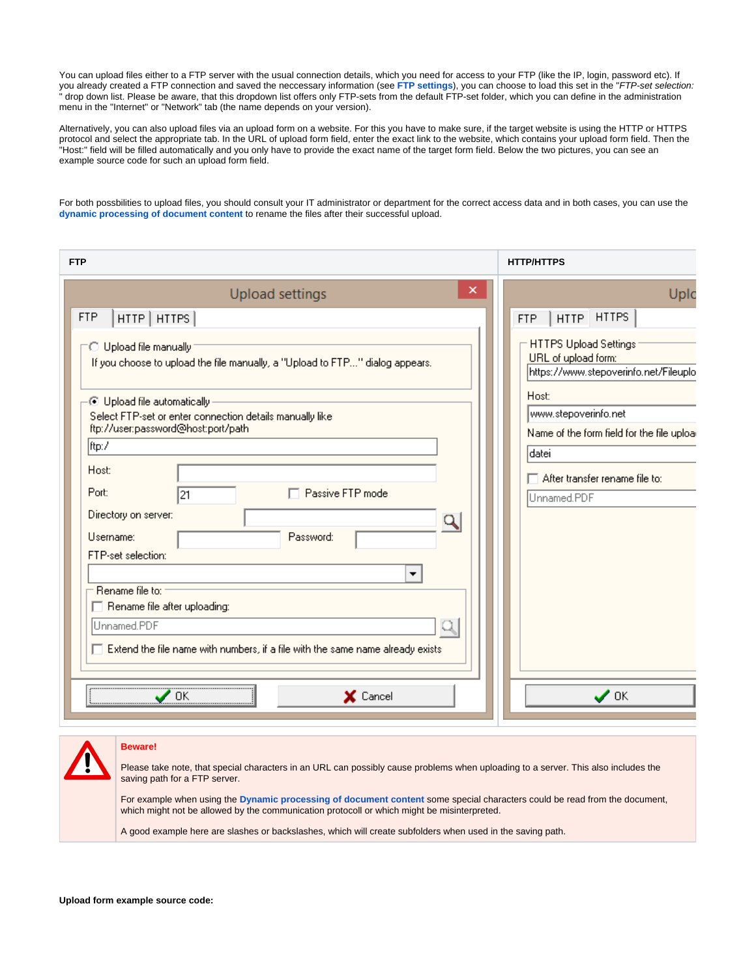You can upload files either to a FTP server with the usual connection details, which you need for access to your FTP (like the IP, login, password etc). If you already created a FTP connection and saved the neccessary information (see **[FTP settings](https://www.stepoverinfo.net/confluence/pages/viewpage.action?pageId=46598468#id-5.WorkingwitheSignatureOffice-FTPsettings)**), you can choose to load this set in the "FTP-set selection: " drop down list. Please be aware, that this dropdown list offers only FTP-sets from the default FTP-set folder, which you can define in the administration menu in the "Internet" or "Network" tab (the name depends on your version).

Alternatively, you can also upload files via an upload form on a website. For this you have to make sure, if the target website is using the HTTP or HTTPS protocol and select the appropriate tab. In the URL of upload form field, enter the exact link to the website, which contains your upload form field. Then the "Host:" field will be filled automatically and you only have to provide the exact name of the target form field. Below the two pictures, you can see an example source code for such an upload form field.

For both possbilities to upload files, you should consult your IT administrator or department for the correct access data and in both cases, you can use the **[dynamic processing of document content](https://www.stepoverinfo.net/confluence/display/PUG/Dynamic+processing+of+document+content)** to rename the files after their successful upload.

| <b>FTP</b>                                                                                                                                                                            | <b>HTTP/HTTPS</b>                                                                     |
|---------------------------------------------------------------------------------------------------------------------------------------------------------------------------------------|---------------------------------------------------------------------------------------|
| ×<br><b>Upload settings</b>                                                                                                                                                           | Upic                                                                                  |
| <b>FTP</b><br>HTTP   HTTPS                                                                                                                                                            | <b>HTTPS</b><br><b>HTTP</b><br><b>FTP</b><br>ı                                        |
| O Upload file manually<br>If you choose to upload the file manually, a "Upload to FTP" dialog appears.                                                                                | HTTPS Upload Settings<br>URL of upload form:<br>https://www.stepoverinfo.net/Fileuplo |
| ∙⊙ Upload file automatically -<br>Select FTP-set or enter connection details manually like<br>ftp://user.password@host:port/path                                                      | Host:<br>www.stepoverinfo.net                                                         |
| ftp:/                                                                                                                                                                                 | Name of the form field for the file uploa<br> datei                                   |
| Host:                                                                                                                                                                                 | $\Box$ After transfer rename file to:                                                 |
| Port:<br>$\Box$ Passive FTP mode<br>21                                                                                                                                                | Unnamed.PDF                                                                           |
| Directory on server:<br>Q<br>Password:<br>Username:<br>FTP-set selection:                                                                                                             |                                                                                       |
| Rename file to:<br>Rename file after uploading:                                                                                                                                       |                                                                                       |
| Unnamed.PDF                                                                                                                                                                           |                                                                                       |
| $\Box$ Extend the file name with numbers, if a file with the same name already exists                                                                                                 |                                                                                       |
| X Cancel<br>0K                                                                                                                                                                        | $\boldsymbol{\mathcal{J}}$ ok                                                         |
|                                                                                                                                                                                       |                                                                                       |
| <b>Beware!</b><br>Please take note, that special characters in an URL can possibly cause problems when uploading to a server. This also includes the<br>saving path for a FTP server. |                                                                                       |

For example when using the **[Dynamic processing of document content](https://www.stepoverinfo.net/confluence/display/PUG/Dynamic+processing+of+document+content)** some special characters could be read from the document, which might not be allowed by the communication protocoll or which might be misinterpreted.

A good example here are slashes or backslashes, which will create subfolders when used in the saving path.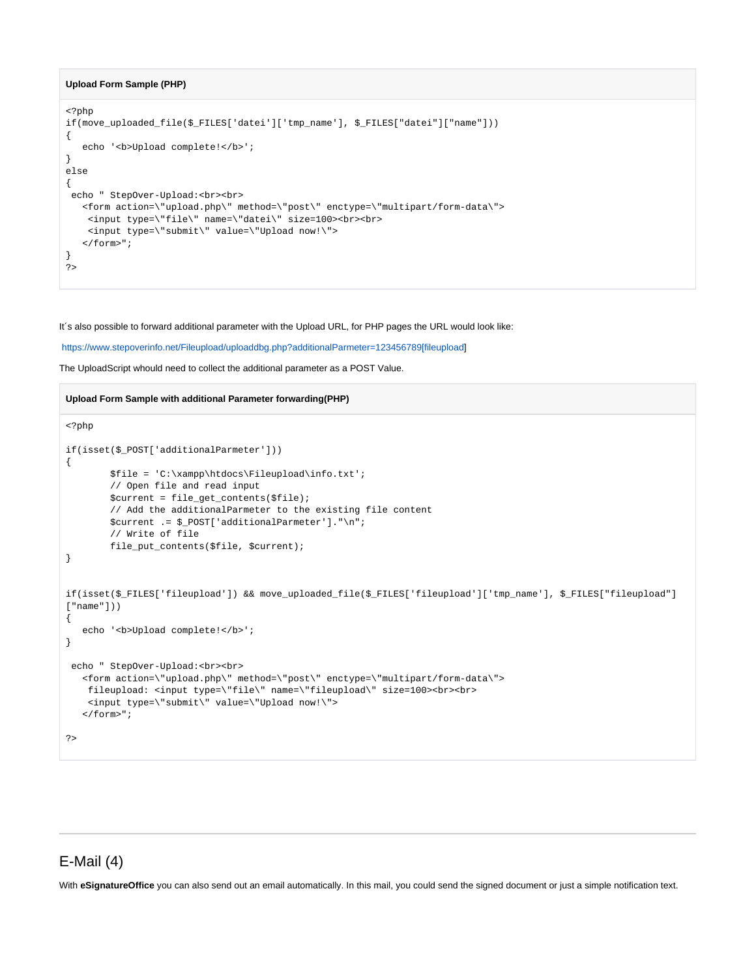#### **Upload Form Sample (PHP)**

```
<?php
if(move_uploaded_file($_FILES['datei']['tmp_name'], $_FILES["datei"]["name"]))
{
   echo '<br />b>Upload complete!</b>';
}
else
{
 echo " StepOver-Upload:<br><br>
    <form action=\"upload.php\" method=\"post\" enctype=\"multipart/form-data\"> 
     <input type=\"file\" name=\"datei\" size=100><br><br>
     <input type=\"submit\" value=\"Upload now!\">
   \alpha / form<br>>" ;
}
?>
```
It´s also possible to forward additional parameter with the Upload URL, for PHP pages the URL would look like:

https://www.stepoverinfo.net/Fileupload/uploaddbg.php?additionalParmeter=123456789[fileupload]

The UploadScript whould need to collect the additional parameter as a POST Value.

#### **Upload Form Sample with additional Parameter forwarding(PHP)**

```
<?php
if(isset($_POST['additionalParmeter']))
{
        $file = 'C:\xampp\htdocs\Fileupload\info.txt';
        // Open file and read input
        $current = file_get_contents($file);
        // Add the additionalParmeter to the existing file content
        $current .= $_POST['additionalParmeter']."\n";
         // Write of file
        file_put_contents($file, $current);
}
if(isset($_FILES['fileupload']) && move_uploaded_file($_FILES['fileupload']['tmp_name'], $_FILES["fileupload"]
["name"]))
{
  echo '<br/>b>Upload complete!</b>';
}
 echo " StepOver-Upload:<br><br>
  <form action=\"upload.php\" method=\"post\" enctype=\"multipart/form-data\">
    fileupload: <input type=\"file\" name=\"fileupload\" size=100><br><br>
    <input type=\"submit\" value=\"Upload now!\">
   </form>";
?>
```
### <span id="page-6-0"></span>E-Mail (4)

With **eSignatureOffice** you can also send out an email automatically. In this mail, you could send the signed document or just a simple notification text.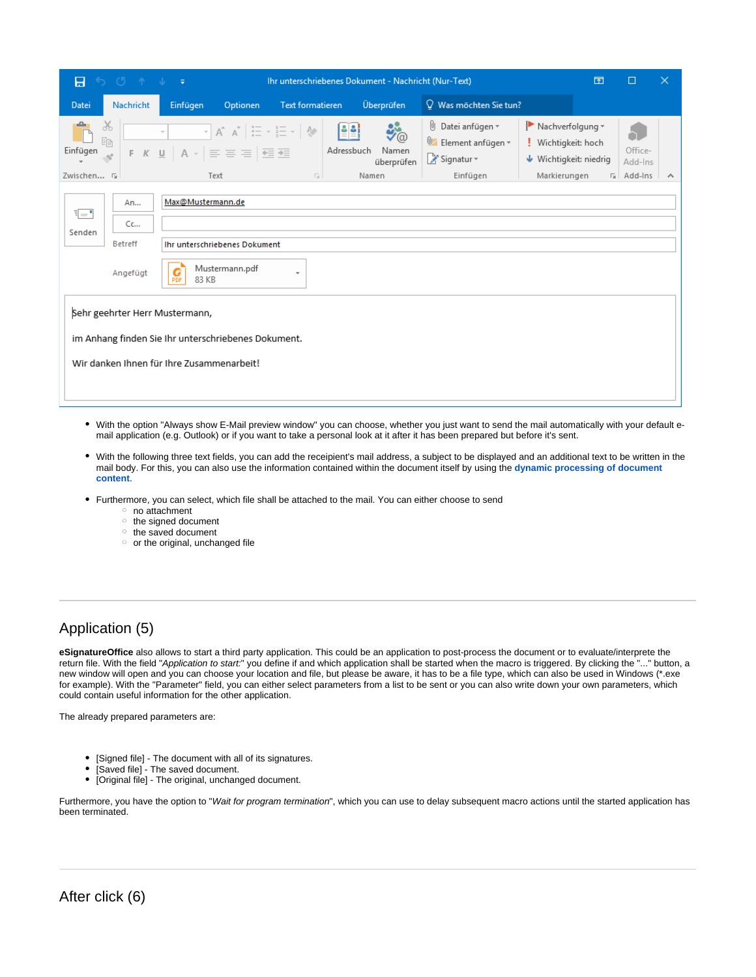| 8                                                                                                                                  | $\begin{array}{ccccccccccccccccc} \circ & \circ & \circ & \circ & \circ & \circ & \circ & \circ & \circ \end{array}$                                           | Ihr unterschriebenes Dokument - Nachricht (Nur-Text) |                                                                                                                                                                                                                                                                                                                                                                                   |                  |                           |                           | 囨                                                                                | $\Box$                                                                                                                    | $\times$ |                                 |   |
|------------------------------------------------------------------------------------------------------------------------------------|----------------------------------------------------------------------------------------------------------------------------------------------------------------|------------------------------------------------------|-----------------------------------------------------------------------------------------------------------------------------------------------------------------------------------------------------------------------------------------------------------------------------------------------------------------------------------------------------------------------------------|------------------|---------------------------|---------------------------|----------------------------------------------------------------------------------|---------------------------------------------------------------------------------------------------------------------------|----------|---------------------------------|---|
| Datei                                                                                                                              | Nachricht                                                                                                                                                      | Einfügen                                             | Optionen                                                                                                                                                                                                                                                                                                                                                                          | Text formatieren |                           | Überprüfen                | $\Omega$ Was möchten Sie tun?                                                    |                                                                                                                           |          |                                 |   |
| $\chi$<br>眄<br>Einfügen<br>$\mathcal{Q}^{\prime}$<br>Zwischen 5                                                                    |                                                                                                                                                                | $\sim$                                               | $\overline{\phantom{a}}\times\begin{bmatrix}A^*&\overline{A}^*&\overline{a}\overline{a}\\A^*&\overline{a}\overline{a}\end{bmatrix}=\overline{\phantom{a}}\times\begin{bmatrix}1\\2\overline{a}\overline{a}\end{bmatrix}=\overline{\phantom{a}}\times\begin{bmatrix}1\\2\overline{a}\overline{a}\end{bmatrix}.$<br>F K U $A \cdot \equiv \equiv \equiv \equiv \frac{1}{2}$<br>Text | 同                | 별화<br>Adressbuch<br>Namen | '@<br>Namen<br>überprüfen | U<br>Datei anfügen v<br><u>Oz</u><br>Element anfügen v<br>Signatur +<br>Einfügen | $\blacktriangleright$ Nachverfolgung $\blacktriangleright$<br>Wichtigkeit: hoch<br>↓ Wichtigkeit: niedrig<br>Markierungen |          | Office-<br>Add-Ins<br>5 Add-Ins | ∧ |
| $E = 1$<br>Senden                                                                                                                  | Max@Mustermann.de<br>An<br>Cc<br><b>Betreff</b><br>Ihr unterschriebenes Dokument<br>Mustermann.pdf<br>G<br>Angefügt<br>$\overline{\mathbf{v}}$<br>83 KB<br>PDF |                                                      |                                                                                                                                                                                                                                                                                                                                                                                   |                  |                           |                           |                                                                                  |                                                                                                                           |          |                                 |   |
| Sehr geehrter Herr Mustermann,<br>im Anhang finden Sie Ihr unterschriebenes Dokument.<br>Wir danken Ihnen für Ihre Zusammenarbeit! |                                                                                                                                                                |                                                      |                                                                                                                                                                                                                                                                                                                                                                                   |                  |                           |                           |                                                                                  |                                                                                                                           |          |                                 |   |

- With the option "Always show E-Mail preview window" you can choose, whether you just want to send the mail automatically with your default email application (e.g. Outlook) or if you want to take a personal look at it after it has been prepared but before it's sent.
- With the following three text fields, you can add the receipient's mail address, a subject to be displayed and an additional text to be written in the mail body. For this, you can also use the information contained within the document itself by using the **[dynamic processing of document](https://www.stepoverinfo.net/confluence/display/PUG/Dynamic+processing+of+document+content)  [content](https://www.stepoverinfo.net/confluence/display/PUG/Dynamic+processing+of+document+content)**.
- Furthermore, you can select, which file shall be attached to the mail. You can either choose to send
	- o no attachment
	- $\circ$  the signed document
	- <sup>o</sup> the saved document
	- $\circ$  or the original, unchanged file

# <span id="page-7-0"></span>Application (5)

**eSignatureOffice** also allows to start a third party application. This could be an application to post-process the document or to evaluate/interprete the return file. With the field "Application to start:" you define if and which application shall be started when the macro is triggered. By clicking the "..." button, a new window will open and you can choose your location and file, but please be aware, it has to be a file type, which can also be used in Windows (\*.exe for example). With the "Parameter" field, you can either select parameters from a list to be sent or you can also write down your own parameters, which could contain useful information for the other application.

The already prepared parameters are:

- [Signed file] The document with all of its signatures.
- [Saved file] The saved document.  $\bullet$
- [Original file] The original, unchanged document.

<span id="page-7-1"></span>Furthermore, you have the option to "Wait for program termination", which you can use to delay subsequent macro actions until the started application has been terminated.